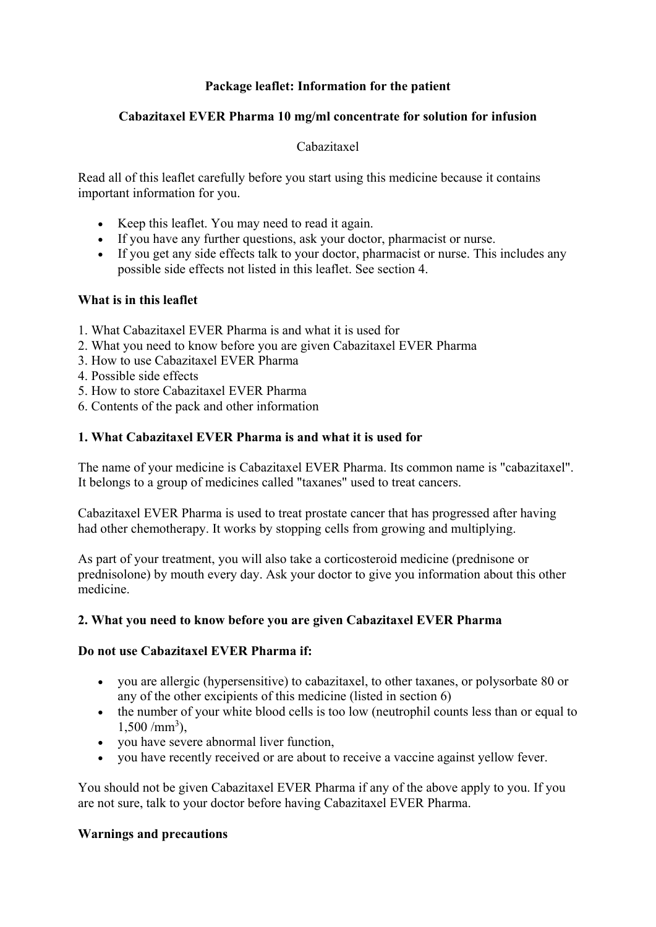# **Package leaflet: Information for the patient**

### **Cabazitaxel EVER Pharma 10 mg/ml concentrate for solution for infusion**

## Cabazitaxel

Read all of this leaflet carefully before you start using this medicine because it contains important information for you.

- Keep this leaflet. You may need to read it again.
- If you have any further questions, ask your doctor, pharmacist or nurse.
- If you get any side effects talk to your doctor, pharmacist or nurse. This includes any possible side effects not listed in this leaflet. See section 4.

### **What is in this leaflet**

- 1. What Cabazitaxel EVER Pharma is and what it is used for
- 2. What you need to know before you are given Cabazitaxel EVER Pharma
- 3. How to use Cabazitaxel EVER Pharma
- 4. Possible side effects
- 5. How to store Cabazitaxel EVER Pharma
- 6. Contents of the pack and other information

### **1. What Cabazitaxel EVER Pharma is and what it is used for**

The name of your medicine is Cabazitaxel EVER Pharma. Its common name is "cabazitaxel". It belongs to a group of medicines called "taxanes" used to treat cancers.

Cabazitaxel EVER Pharma is used to treat prostate cancer that has progressed after having had other chemotherapy. It works by stopping cells from growing and multiplying.

As part of your treatment, you will also take a corticosteroid medicine (prednisone or prednisolone) by mouth every day. Ask your doctor to give you information about this other medicine.

### **2. What you need to know before you are given Cabazitaxel EVER Pharma**

### **Do not use Cabazitaxel EVER Pharma if:**

- you are allergic (hypersensitive) to cabazitaxel, to other taxanes, or polysorbate 80 or any of the other excipients of this medicine (listed in section 6)
- the number of your white blood cells is too low (neutrophil counts less than or equal to  $1,500 / \text{mm}^3$ ,
- you have severe abnormal liver function,
- you have recently received or are about to receive a vaccine against yellow fever.

You should not be given Cabazitaxel EVER Pharma if any of the above apply to you. If you are not sure, talk to your doctor before having Cabazitaxel EVER Pharma.

### **Warnings and precautions**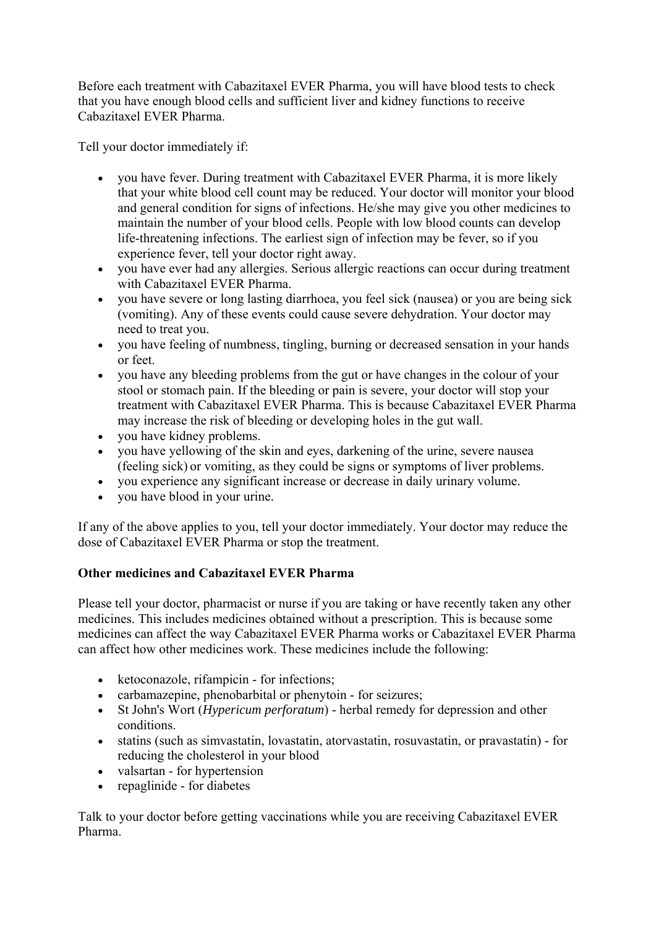Before each treatment with Cabazitaxel EVER Pharma, you will have blood tests to check that you have enough blood cells and sufficient liver and kidney functions to receive Cabazitaxel EVER Pharma.

Tell your doctor immediately if:

- you have fever. During treatment with Cabazitaxel EVER Pharma, it is more likely that your white blood cell count may be reduced. Your doctor will monitor your blood and general condition for signs of infections. He/she may give you other medicines to maintain the number of your blood cells. People with low blood counts can develop life-threatening infections. The earliest sign of infection may be fever, so if you experience fever, tell your doctor right away.
- you have ever had any allergies. Serious allergic reactions can occur during treatment with Cabazitaxel EVER Pharma.
- you have severe or long lasting diarrhoea, you feel sick (nausea) or you are being sick (vomiting). Any of these events could cause severe dehydration. Your doctor may need to treat you.
- you have feeling of numbness, tingling, burning or decreased sensation in your hands or feet.
- you have any bleeding problems from the gut or have changes in the colour of your stool or stomach pain. If the bleeding or pain is severe, your doctor will stop your treatment with Cabazitaxel EVER Pharma. This is because Cabazitaxel EVER Pharma may increase the risk of bleeding or developing holes in the gut wall.
- you have kidney problems.
- you have yellowing of the skin and eyes, darkening of the urine, severe nausea (feeling sick) or vomiting, as they could be signs or symptoms of liver problems.
- you experience any significant increase or decrease in daily urinary volume.
- you have blood in your urine.

If any of the above applies to you, tell your doctor immediately. Your doctor may reduce the dose of Cabazitaxel EVER Pharma or stop the treatment.

### **Other medicines and Cabazitaxel EVER Pharma**

Please tell your doctor, pharmacist or nurse if you are taking or have recently taken any other medicines. This includes medicines obtained without a prescription. This is because some medicines can affect the way Cabazitaxel EVER Pharma works or Cabazitaxel EVER Pharma can affect how other medicines work. These medicines include the following:

- ketoconazole, rifampicin for infections;
- carbamazepine, phenobarbital or phenytoin for seizures;
- St John's Wort (*Hypericum perforatum*) herbal remedy for depression and other conditions.
- statins (such as simvastatin, lovastatin, atorvastatin, rosuvastatin, or pravastatin) for reducing the cholesterol in your blood
- valsartan for hypertension
- repaglinide for diabetes

Talk to your doctor before getting vaccinations while you are receiving Cabazitaxel EVER Pharma.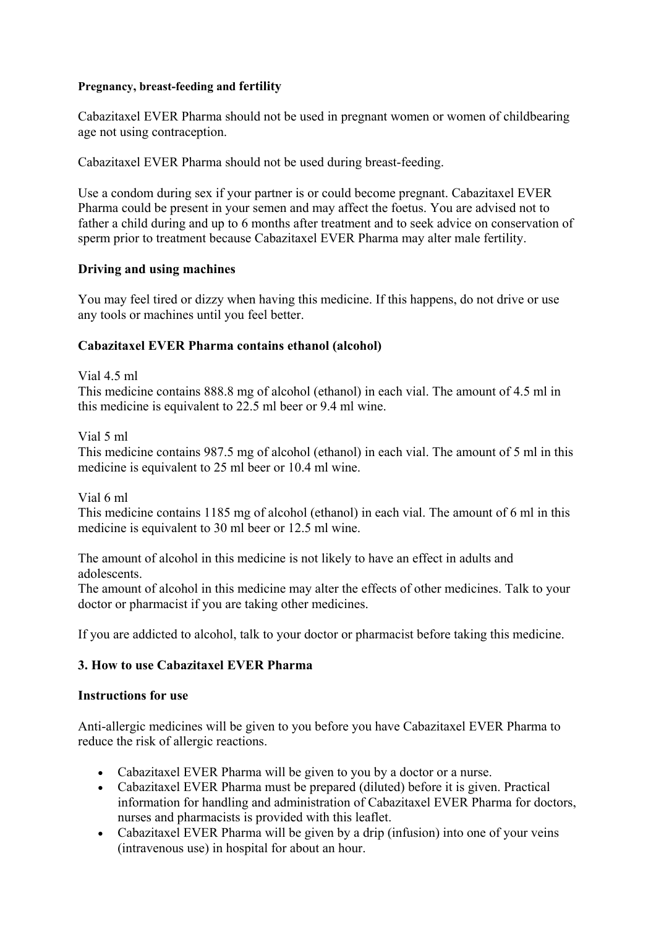#### **Pregnancy, breast-feeding and fertility**

Cabazitaxel EVER Pharma should not be used in pregnant women or women of childbearing age not using contraception.

Cabazitaxel EVER Pharma should not be used during breast-feeding.

Use a condom during sex if your partner is or could become pregnant. Cabazitaxel EVER Pharma could be present in your semen and may affect the foetus. You are advised not to father a child during and up to 6 months after treatment and to seek advice on conservation of sperm prior to treatment because Cabazitaxel EVER Pharma may alter male fertility.

### **Driving and using machines**

You may feel tired or dizzy when having this medicine. If this happens, do not drive or use any tools or machines until you feel better.

#### **Cabazitaxel EVER Pharma contains ethanol (alcohol)**

Vial 4.5 ml

This medicine contains 888.8 mg of alcohol (ethanol) in each vial. The amount of 4.5 ml in this medicine is equivalent to 22.5 ml beer or 9.4 ml wine.

Vial 5 ml

This medicine contains 987.5 mg of alcohol (ethanol) in each vial. The amount of 5 ml in this medicine is equivalent to 25 ml beer or 10.4 ml wine.

Vial 6 ml

This medicine contains 1185 mg of alcohol (ethanol) in each vial. The amount of 6 ml in this medicine is equivalent to 30 ml beer or 12.5 ml wine.

The amount of alcohol in this medicine is not likely to have an effect in adults and adolescents.

The amount of alcohol in this medicine may alter the effects of other medicines. Talk to your doctor or pharmacist if you are taking other medicines.

If you are addicted to alcohol, talk to your doctor or pharmacist before taking this medicine.

### **3. How to use Cabazitaxel EVER Pharma**

#### **Instructions for use**

Anti-allergic medicines will be given to you before you have Cabazitaxel EVER Pharma to reduce the risk of allergic reactions.

- Cabazitaxel EVER Pharma will be given to you by a doctor or a nurse.
- Cabazitaxel EVER Pharma must be prepared (diluted) before it is given. Practical information for handling and administration of Cabazitaxel EVER Pharma for doctors, nurses and pharmacists is provided with this leaflet.
- Cabazitaxel EVER Pharma will be given by a drip (infusion) into one of your veins (intravenous use) in hospital for about an hour.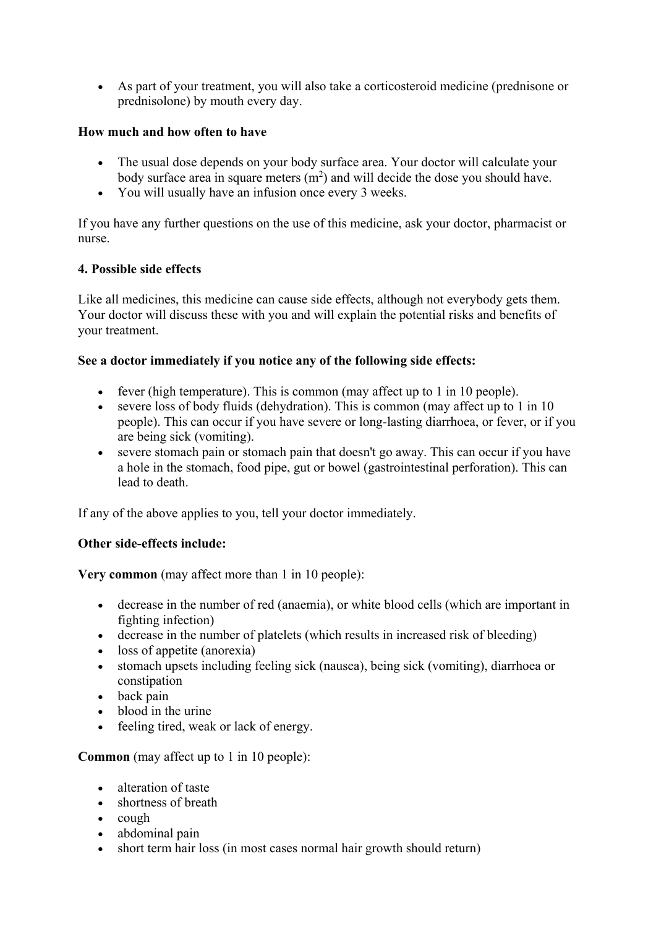As part of your treatment, you will also take a corticosteroid medicine (prednisone or prednisolone) by mouth every day.

# **How much and how often to have**

- The usual dose depends on your body surface area. Your doctor will calculate your body surface area in square meters  $(m^2)$  and will decide the dose you should have.
- You will usually have an infusion once every 3 weeks.

If you have any further questions on the use of this medicine, ask your doctor, pharmacist or nurse.

# **4. Possible side effects**

Like all medicines, this medicine can cause side effects, although not everybody gets them. Your doctor will discuss these with you and will explain the potential risks and benefits of your treatment.

# **See a doctor immediately if you notice any of the following side effects:**

- $\bullet$  fever (high temperature). This is common (may affect up to 1 in 10 people).
- severe loss of body fluids (dehydration). This is common (may affect up to 1 in 10 people). This can occur if you have severe or long-lasting diarrhoea, or fever, or if you are being sick (vomiting).
- severe stomach pain or stomach pain that doesn't go away. This can occur if you have a hole in the stomach, food pipe, gut or bowel (gastrointestinal perforation). This can lead to death.

If any of the above applies to you, tell your doctor immediately.

# **Other side-effects include:**

**Very common** (may affect more than 1 in 10 people):

- decrease in the number of red (anaemia), or white blood cells (which are important in fighting infection)
- decrease in the number of platelets (which results in increased risk of bleeding)
- loss of appetite (anorexia)
- stomach upsets including feeling sick (nausea), being sick (vomiting), diarrhoea or constipation
- back pain
- blood in the urine
- feeling tired, weak or lack of energy.

**Common** (may affect up to 1 in 10 people):

- alteration of taste
- shortness of breath
- $\bullet$  cough
- abdominal pain
- short term hair loss (in most cases normal hair growth should return)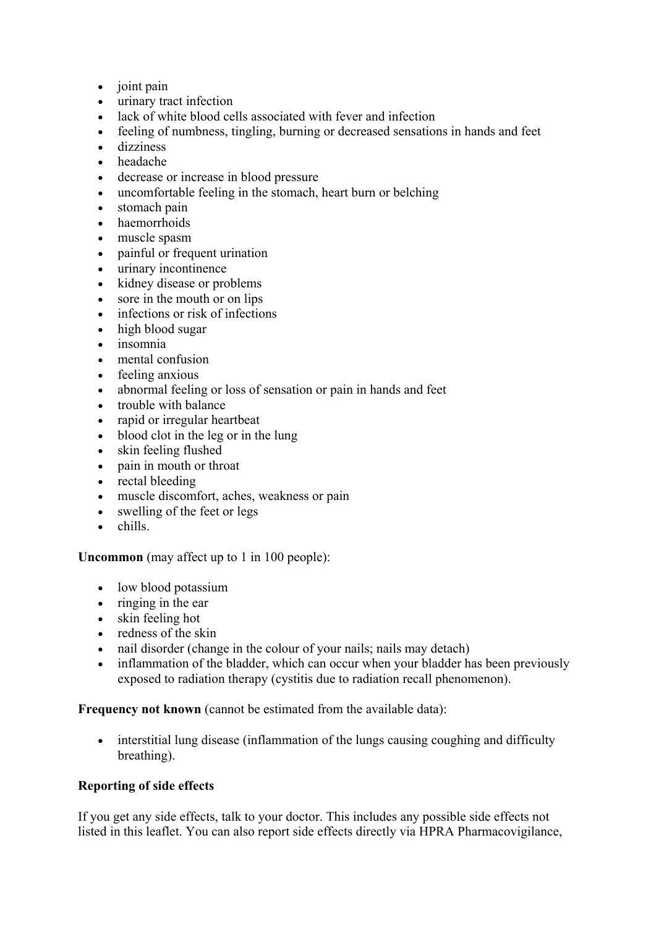- joint pain
- urinary tract infection
- lack of white blood cells associated with fever and infection
- feeling of numbness, tingling, burning or decreased sensations in hands and feet
- dizziness
- headache
- decrease or increase in blood pressure
- uncomfortable feeling in the stomach, heart burn or belching
- stomach pain
- haemorrhoids
- muscle spasm
- painful or frequent urination
- urinary incontinence
- kidney disease or problems
- sore in the mouth or on lips
- infections or risk of infections
- high blood sugar
- insomnia
- mental confusion
- feeling anxious
- abnormal feeling or loss of sensation or pain in hands and feet
- trouble with balance
- rapid or irregular heartbeat
- blood clot in the leg or in the lung
- skin feeling flushed
- pain in mouth or throat
- rectal bleeding
- muscle discomfort, aches, weakness or pain
- swelling of the feet or legs
- chills.

**Uncommon** (may affect up to 1 in 100 people):

- low blood potassium
- $\bullet$  ringing in the ear
- skin feeling hot
- redness of the skin
- nail disorder (change in the colour of your nails; nails may detach)
- inflammation of the bladder, which can occur when your bladder has been previously exposed to radiation therapy (cystitis due to radiation recall phenomenon).

**Frequency not known** (cannot be estimated from the available data):

 interstitial lung disease (inflammation of the lungs causing coughing and difficulty breathing).

#### **Reporting of side effects**

If you get any side effects, talk to your doctor. This includes any possible side effects not listed in this leaflet. You can also report side effects directly via HPRA Pharmacovigilance,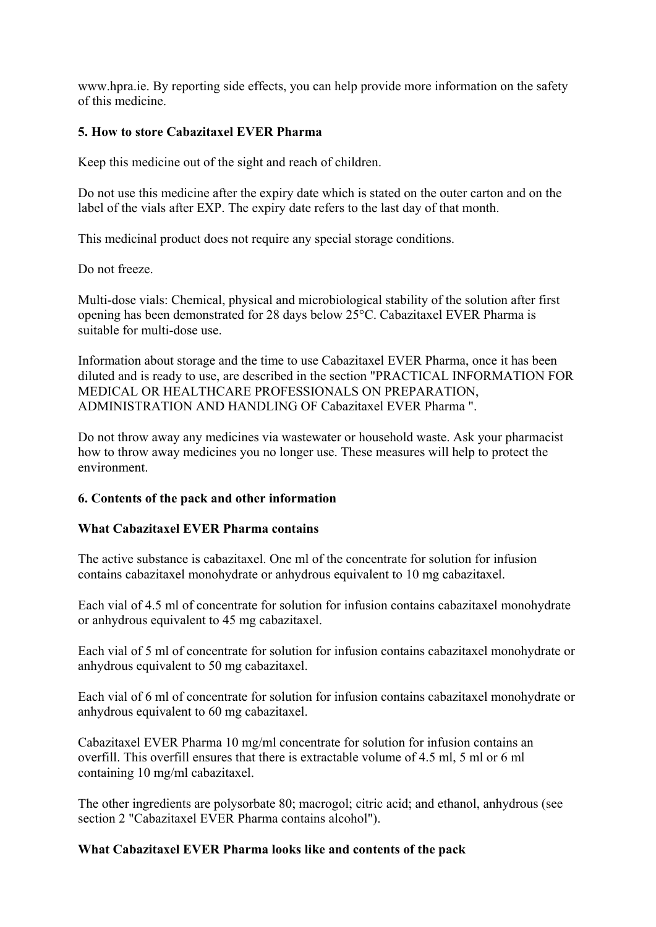www.hpra.ie. By reporting side effects, you can help provide more information on the safety of this medicine.

### **5. How to store Cabazitaxel EVER Pharma**

Keep this medicine out of the sight and reach of children.

Do not use this medicine after the expiry date which is stated on the outer carton and on the label of the vials after EXP. The expiry date refers to the last day of that month.

This medicinal product does not require any special storage conditions.

Do not freeze.

Multi-dose vials: Chemical, physical and microbiological stability of the solution after first opening has been demonstrated for 28 days below 25°C. Cabazitaxel EVER Pharma is suitable for multi-dose use.

Information about storage and the time to use Cabazitaxel EVER Pharma, once it has been diluted and is ready to use, are described in the section "PRACTICAL INFORMATION FOR MEDICAL OR HEALTHCARE PROFESSIONALS ON PREPARATION, ADMINISTRATION AND HANDLING OF Cabazitaxel EVER Pharma ".

Do not throw away any medicines via wastewater or household waste. Ask your pharmacist how to throw away medicines you no longer use. These measures will help to protect the environment.

### **6. Contents of the pack and other information**

### **What Cabazitaxel EVER Pharma contains**

The active substance is cabazitaxel. One ml of the concentrate for solution for infusion contains cabazitaxel monohydrate or anhydrous equivalent to 10 mg cabazitaxel.

Each vial of 4.5 ml of concentrate for solution for infusion contains cabazitaxel monohydrate or anhydrous equivalent to 45 mg cabazitaxel.

Each vial of 5 ml of concentrate for solution for infusion contains cabazitaxel monohydrate or anhydrous equivalent to 50 mg cabazitaxel.

Each vial of 6 ml of concentrate for solution for infusion contains cabazitaxel monohydrate or anhydrous equivalent to 60 mg cabazitaxel.

Cabazitaxel EVER Pharma 10 mg/ml concentrate for solution for infusion contains an overfill. This overfill ensures that there is extractable volume of 4.5 ml, 5 ml or 6 ml containing 10 mg/ml cabazitaxel.

The other ingredients are polysorbate 80; macrogol; citric acid; and ethanol, anhydrous (see section 2 "Cabazitaxel EVER Pharma contains alcohol").

#### **What Cabazitaxel EVER Pharma looks like and contents of the pack**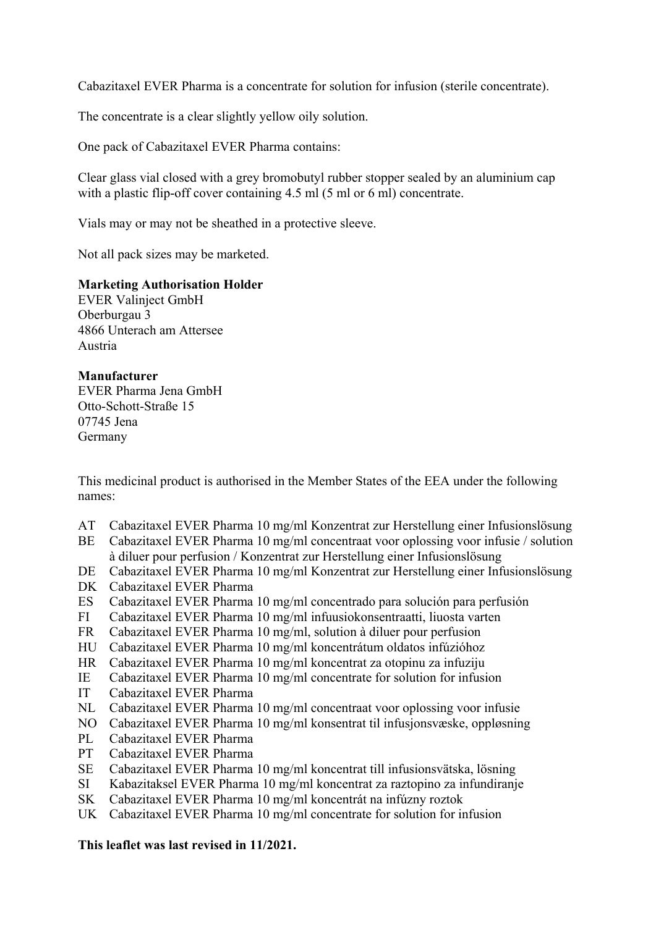Cabazitaxel EVER Pharma is a concentrate for solution for infusion (sterile concentrate).

The concentrate is a clear slightly yellow oily solution.

One pack of Cabazitaxel EVER Pharma contains:

Clear glass vial closed with a grey bromobutyl rubber stopper sealed by an aluminium cap with a plastic flip-off cover containing 4.5 ml (5 ml or 6 ml) concentrate.

Vials may or may not be sheathed in a protective sleeve.

Not all pack sizes may be marketed.

**Marketing Authorisation Holder** 

EVER Valinject GmbH Oberburgau 3 4866 Unterach am Attersee Austria

#### **Manufacturer**

EVER Pharma Jena GmbH Otto‑Schott‑Straße 15 07745 Jena Germany

This medicinal product is authorised in the Member States of the EEA under the following names:

- AT Cabazitaxel EVER Pharma 10 mg/ml Konzentrat zur Herstellung einer Infusionslösung
- BE Cabazitaxel EVER Pharma 10 mg/ml concentraat voor oplossing voor infusie / solution à diluer pour perfusion / Konzentrat zur Herstellung einer Infusionslösung
- DE Cabazitaxel EVER Pharma 10 mg/ml Konzentrat zur Herstellung einer Infusionslösung
- DK Cabazitaxel EVER Pharma
- ES Cabazitaxel EVER Pharma 10 mg/ml concentrado para solución para perfusión
- FI Cabazitaxel EVER Pharma 10 mg/ml infuusiokonsentraatti, liuosta varten
- FR Cabazitaxel EVER Pharma 10 mg/ml, solution à diluer pour perfusion
- HU Cabazitaxel EVER Pharma 10 mg/ml koncentrátum oldatos infúzióhoz
- HR Cabazitaxel EVER Pharma 10 mg/ml koncentrat za otopinu za infuziju
- IE Cabazitaxel EVER Pharma 10 mg/ml concentrate for solution for infusion
- IT Cabazitaxel EVER Pharma
- NL Cabazitaxel EVER Pharma 10 mg/ml concentraat voor oplossing voor infusie
- NO Cabazitaxel EVER Pharma 10 mg/ml konsentrat til infusjonsvæske, oppløsning
- PL Cabazitaxel EVER Pharma
- PT Cabazitaxel EVER Pharma
- SE Cabazitaxel EVER Pharma 10 mg/ml koncentrat till infusionsvätska, lösning
- SI Kabazitaksel EVER Pharma 10 mg/ml koncentrat za raztopino za infundiranje
- SK Cabazitaxel EVER Pharma 10 mg/ml koncentrát na infúzny roztok
- UK Cabazitaxel EVER Pharma 10 mg/ml concentrate for solution for infusion

### **This leaflet was last revised in 11/2021.**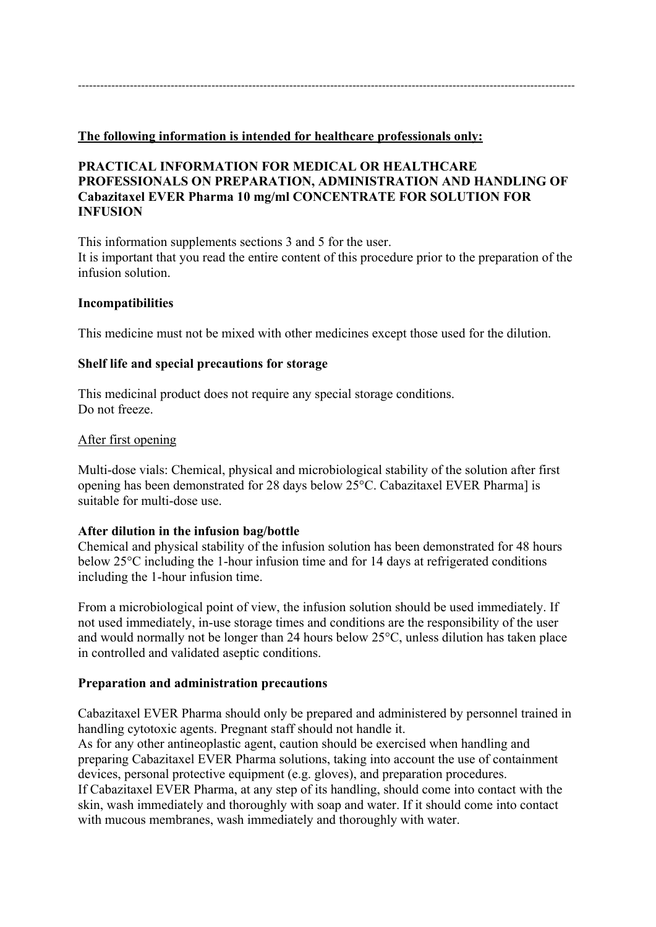#### **The following information is intended for healthcare professionals only:**

#### **PRACTICAL INFORMATION FOR MEDICAL OR HEALTHCARE PROFESSIONALS ON PREPARATION, ADMINISTRATION AND HANDLING OF Cabazitaxel EVER Pharma 10 mg/ml CONCENTRATE FOR SOLUTION FOR INFUSION**

This information supplements sections 3 and 5 for the user. It is important that you read the entire content of this procedure prior to the preparation of the infusion solution.

#### **Incompatibilities**

This medicine must not be mixed with other medicines except those used for the dilution.

#### **Shelf life and special precautions for storage**

This medicinal product does not require any special storage conditions. Do not freeze.

#### After first opening

Multi-dose vials: Chemical, physical and microbiological stability of the solution after first opening has been demonstrated for 28 days below 25°C. Cabazitaxel EVER Pharma] is suitable for multi-dose use.

#### **After dilution in the infusion bag/bottle**

Chemical and physical stability of the infusion solution has been demonstrated for 48 hours below 25°C including the 1-hour infusion time and for 14 days at refrigerated conditions including the 1-hour infusion time.

From a microbiological point of view, the infusion solution should be used immediately. If not used immediately, in-use storage times and conditions are the responsibility of the user and would normally not be longer than 24 hours below 25°C, unless dilution has taken place in controlled and validated aseptic conditions.

#### **Preparation and administration precautions**

Cabazitaxel EVER Pharma should only be prepared and administered by personnel trained in handling cytotoxic agents. Pregnant staff should not handle it.

As for any other antineoplastic agent, caution should be exercised when handling and preparing Cabazitaxel EVER Pharma solutions, taking into account the use of containment devices, personal protective equipment (e.g. gloves), and preparation procedures. If Cabazitaxel EVER Pharma, at any step of its handling, should come into contact with the skin, wash immediately and thoroughly with soap and water. If it should come into contact with mucous membranes, wash immediately and thoroughly with water.